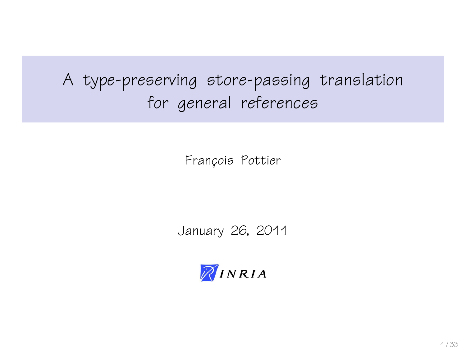# A type-preserving store-passing translation for general references

François Pottier

January 26, 2011

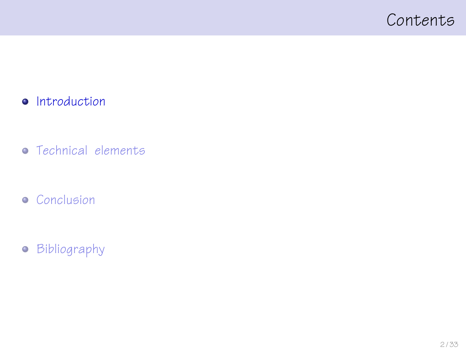### <span id="page-1-0"></span>Contents

#### • [Introduction](#page-1-0)

- [Technical elements](#page-11-0)
- **•** [Conclusion](#page-29-0)
- **•** [Bibliography](#page-31-0)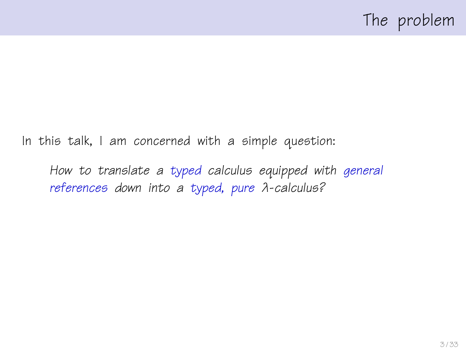In this talk, I am concerned with a simple question:

How to translate a typed calculus equipped with general references down into a typed, pure λ-calculus?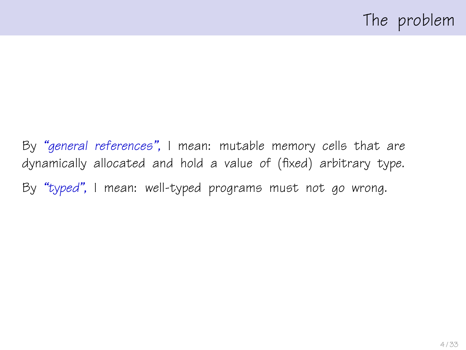By "general references", I mean: mutable memory cells that are dynamically allocated and hold a value of (fixed) arbitrary type. By "typed", I mean: well-typed programs must not go wrong.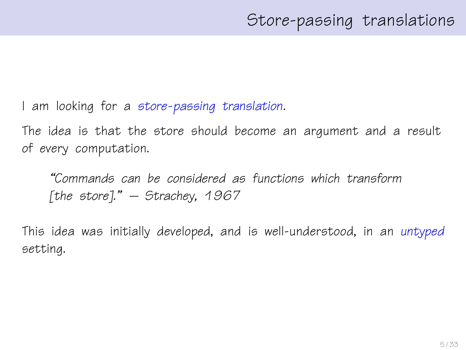I am looking for a store-passing translation.

The idea is that the store should become an argument and a result of every computation.

"Commands can be considered as functions which transform [the store]."  $-$  Strachey, 1967

This idea was initially developed, and is well-understood, in an untyped setting.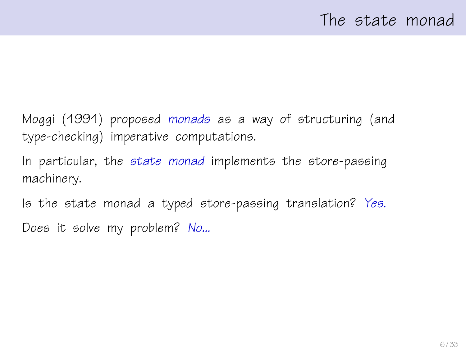Moggi (1991) proposed monads as a way of structuring (and type-checking) imperative computations.

In particular, the state monad implements the store-passing machinery.

Is the state monad a typed store-passing translation? Yes. Does it solve my problem? No...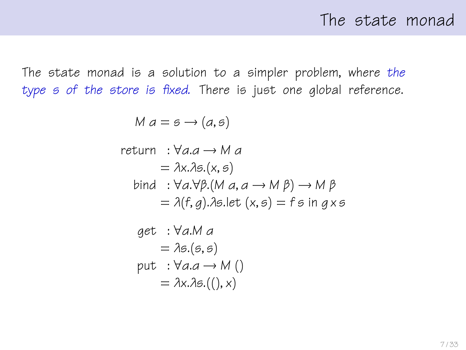The state monad is a solution to a simpler problem, where the type s of the store is fixed. There is just one global reference.

 $M a = s \rightarrow (a, s)$ 

return : 
$$
\forall a.a \rightarrow M a
$$
  
=  $\lambda x.\lambda s.(x, s)$   
bind :  $\forall a.\forall \beta.(M a, a \rightarrow M \beta) \rightarrow M \beta$   
=  $\lambda(f, g).\lambda s.let(x, s) = fs in g x s$ 

get : 
$$
\forall a.M a
$$
  
=  $\lambda s.(s, s)$   
put :  $\forall a.a \rightarrow M()$   
=  $\lambda x.\lambda s.((), x)$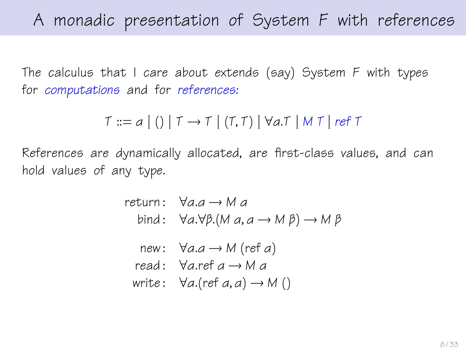The calculus that I care about extends (say) System F with types for computations and for references:

 $T ::= a | () | T \rightarrow T | (T,T) | \forall a \top | M \top | ref \top$ 

References are dynamically allocated, are first-class values, and can hold values of any type.

> return:  $\forall a.a \rightarrow M.a$ bind:  $\forall a.\forall \beta.$ (M  $a, a \rightarrow M \beta$ )  $\rightarrow M \beta$ new:  $\forall a.a \rightarrow M$  (ref a) read:  $\forall a$ .ref  $a \rightarrow M$  a write:  $\forall a.$ (ref a, a)  $\rightarrow$  M ()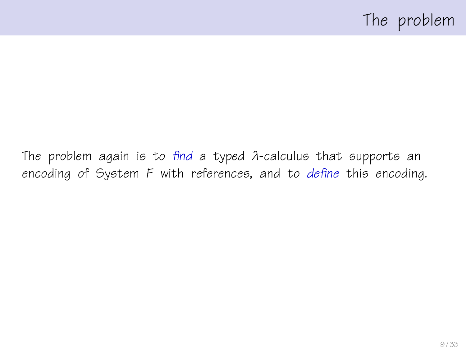The problem again is to find a typed λ-calculus that supports an encoding of System F with references, and to define this encoding.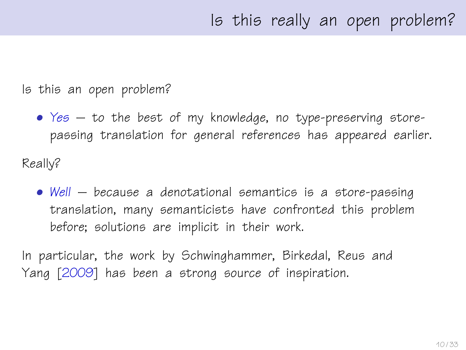Is this an open problem?

- Yes to the best of my knowledge, no type-preserving storepassing translation for general references has appeared earlier. Really?
	- Well because a denotational semantics is a store-passing translation, many semanticists have confronted this problem before; solutions are implicit in their work.

In particular, the work by Schwinghammer, Birkedal, Reus and Yang [\[2009\]](#page-32-0) has been a strong source of inspiration.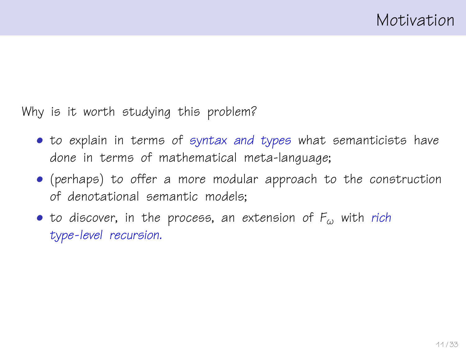Why is it worth studying this problem?

- to explain in terms of syntax and types what semanticists have done in terms of mathematical meta-language;
- (perhaps) to offer a more modular approach to the construction of denotational semantic models;
- to discover, in the process, an extension of  $F_{\omega}$  with rich type-level recursion.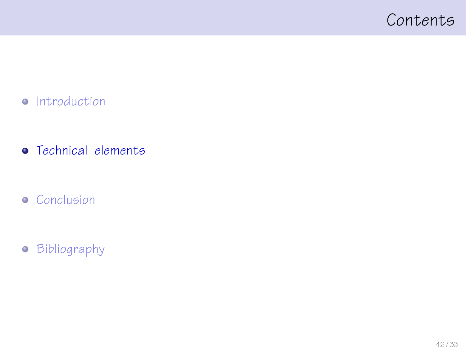### <span id="page-11-0"></span>Contents

- [Introduction](#page-1-0)
- **•** [Technical elements](#page-11-0)
- **•** [Conclusion](#page-29-0)
- **•** [Bibliography](#page-31-0)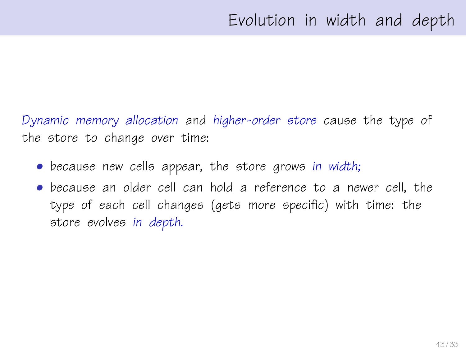Dynamic memory allocation and higher-order store cause the type of the store to change over time:

- because new cells appear, the store grows in width;
- because an older cell can hold a reference to a newer cell, the type of each cell changes (gets more specific) with time: the store evolves in depth.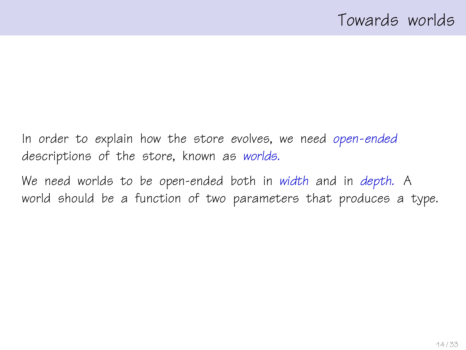In order to explain how the store evolves, we need open-ended descriptions of the store, known as worlds.

We need worlds to be open-ended both in width and in depth. A world should be a function of two parameters that produces a type.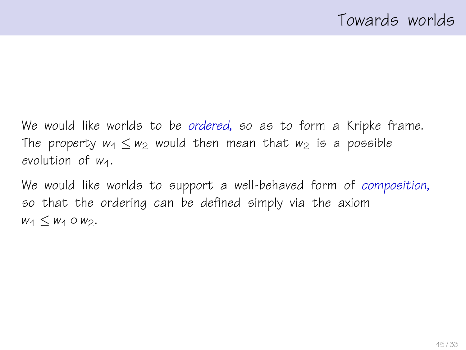We would like worlds to be ordered, so as to form a Kripke frame. The property  $w_1 \leq w_2$  would then mean that  $w_2$  is a possible evolution of  $W_1$ .

We would like worlds to support a well-behaved form of composition, so that the ordering can be defined simply via the axiom  $w_1 < w_1 \circ w_2$ .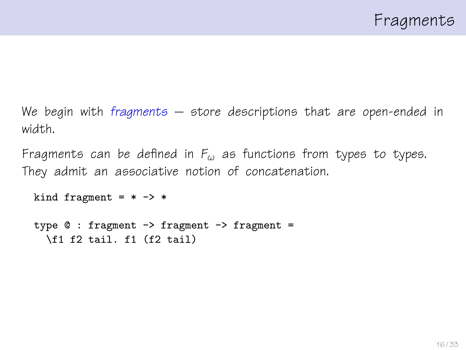We begin with fragments  $-$  store descriptions that are open-ended in width.

Fragments can be defined in  $F_{\omega}$  as functions from types to types. They admit an associative notion of concatenation.

```
kind fragment = * -> *
```

```
type @: fragment -> fragment -> fragment =
\f1 f2 tail. f1 (f2 tail)
```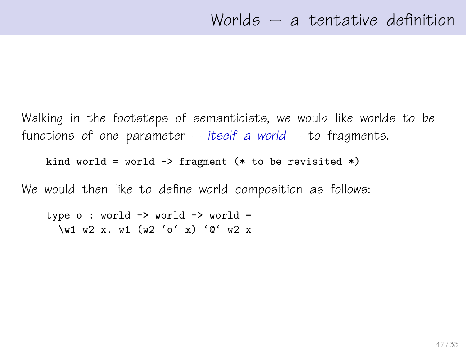Walking in the footsteps of semanticists, we would like worlds to be functions of one parameter  $-$  itself a world  $-$  to fragments.

kind world = world  $\rightarrow$  fragment (\* to be revisited \*)

We would then like to define world composition as follows:

type  $o: world \rightarrow world \rightarrow world =$ \w1 w2 x. w1 (w2 'o' x) '@' w2 x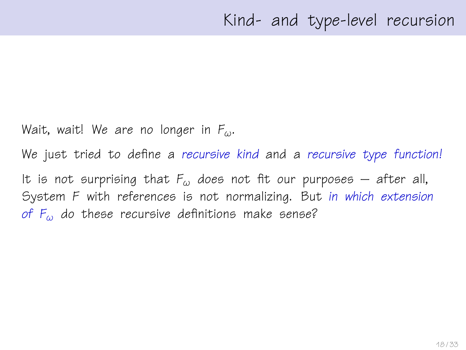Wait, wait! We are no longer in  $F_{\omega}$ .

We just tried to define a recursive kind and a recursive type function! It is not surprising that  $F_{\omega}$  does not fit our purposes – after all, System F with references is not normalizing. But in which extension of  $F_{\omega}$  do these recursive definitions make sense?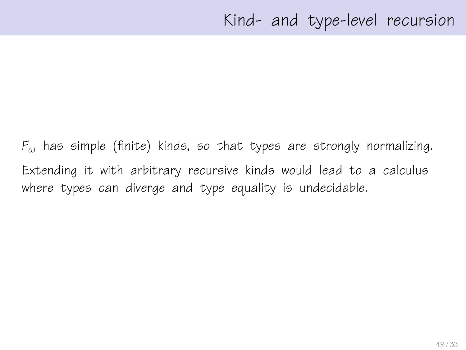$F_{\omega}$  has simple (finite) kinds, so that types are strongly normalizing. Extending it with arbitrary recursive kinds would lead to a calculus where types can diverge and type equality is undecidable.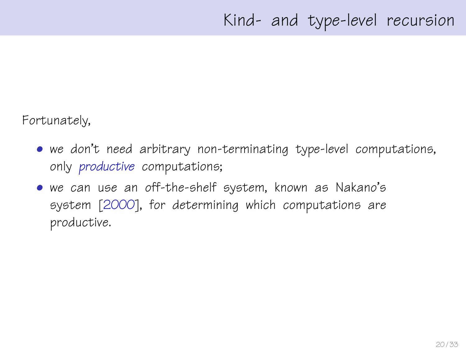Fortunately,

- we don't need arbitrary non-terminating type-level computations, only productive computations;
- we can use an off-the-shelf system, known as Nakano's system [\[2000\]](#page-32-1), for determining which computations are productive.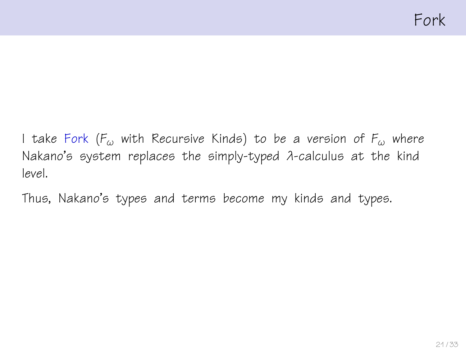I take Fork ( $F_{\omega}$  with Recursive Kinds) to be a version of  $F_{\omega}$  where Nakano's system replaces the simply-typed λ-calculus at the kind level.

Thus, Nakano's types and terms become my kinds and types.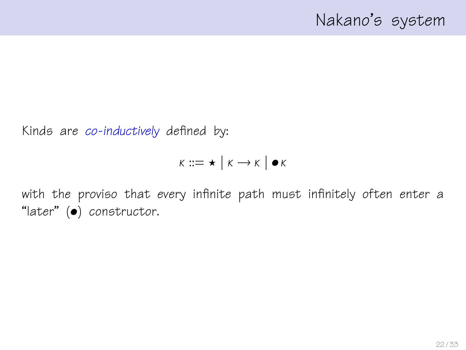## Nakano's system

Kinds are co-inductively defined by:

$$
\kappa ::= \star \mid \kappa \longrightarrow \kappa \mid \bullet \kappa
$$

with the proviso that every infinite path must infinitely often enter a "later" (•) constructor.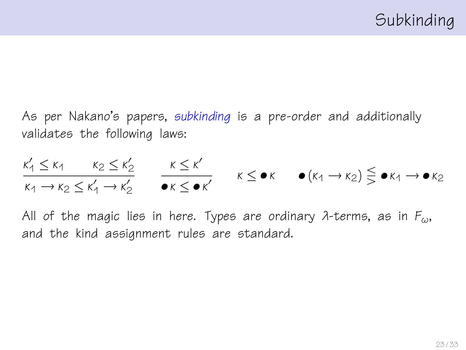As per Nakano's papers, subkinding is a pre-order and additionally validates the following laws:

$$
\frac{\kappa'_1 \le \kappa_1 \qquad \kappa_2 \le \kappa'_2}{\kappa_1 \to \kappa_2 \le \kappa'_1 \to \kappa'_2} \qquad \frac{\kappa \le \kappa'}{\bullet \kappa \le \bullet \kappa'} \qquad \kappa \le \bullet \kappa \qquad \bullet (\kappa_1 \to \kappa_2) \lesseqgtr \bullet \kappa_1 \to \bullet \kappa_2
$$

All of the magic lies in here. Types are ordinary  $\lambda$ -terms, as in  $F_{\omega}$ , and the kind assignment rules are standard.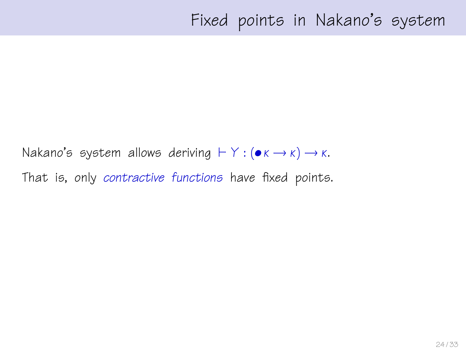Nakano's system allows deriving  $\vdash Y : (\bullet \kappa \rightarrow \kappa) \rightarrow \kappa$ . That is, only contractive functions have fixed points.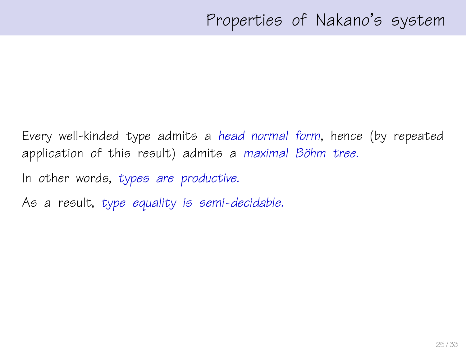Every well-kinded type admits a head normal form, hence (by repeated application of this result) admits a maximal Böhm tree.

In other words, types are productive.

As a result, type equality is semi-decidable.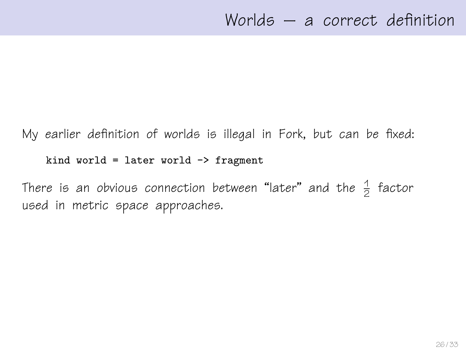My earlier definition of worlds is illegal in Fork, but can be fixed:

kind world = later world  $\rightarrow$  fragment

There is an obvious connection between "later" and the  $\frac{1}{2}$  factor used in metric space approaches.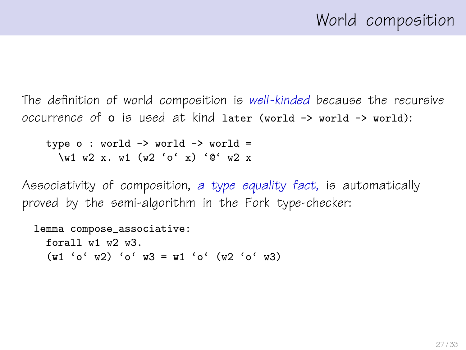The definition of world composition is well-kinded because the recursive occurrence of o is used at kind later (world -> world -> world):

type  $o: world \rightarrow world \rightarrow world =$ \w1 w2 x. w1 (w2 'o' x) '@' w2 x

Associativity of composition, a type equality fact, is automatically proved by the semi-algorithm in the Fork type-checker:

```
lemma compose_associative:
 forall w1 w2 w3.
 (w1 'o' w2) 'o' w3 = w1 'o' (w2 'o' w3)
```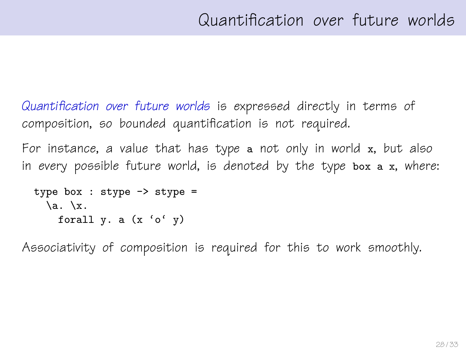Quantification over future worlds is expressed directly in terms of composition, so bounded quantification is not required.

For instance, a value that has type a not only in world x, but also in every possible future world, is denoted by the type box a x, where:

```
type box : stype \rightarrow stype =
 \a. \ x.forall y. a (x 'o' y)
```
Associativity of composition is required for this to work smoothly.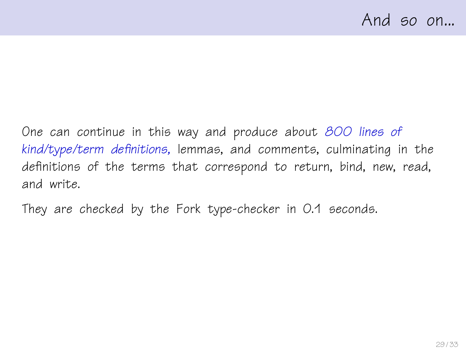One can continue in this way and produce about 800 lines of kind/type/term definitions, lemmas, and comments, culminating in the definitions of the terms that correspond to return, bind, new, read, and write.

They are checked by the Fork type-checker in 0.1 seconds.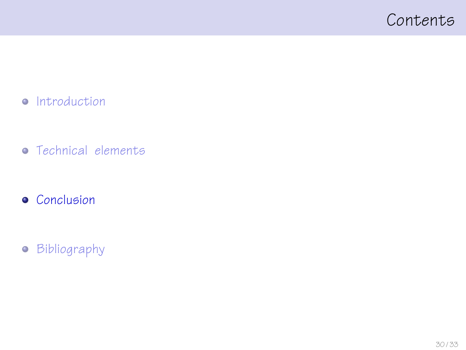### <span id="page-29-0"></span>Contents

- [Introduction](#page-1-0)
- **•** [Technical elements](#page-11-0)
- **•** [Conclusion](#page-29-0)
- **•** [Bibliography](#page-31-0)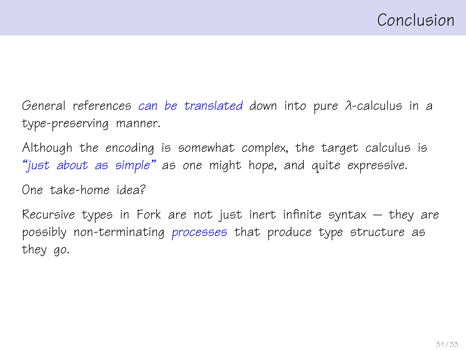General references can be translated down into pure λ-calculus in a type-preserving manner.

Although the encoding is somewhat complex, the target calculus is "just about as simple" as one might hope, and quite expressive.

One take-home idea?

Recursive types in Fork are not just inert infinite syntax – they are possibly non-terminating processes that produce type structure as they go.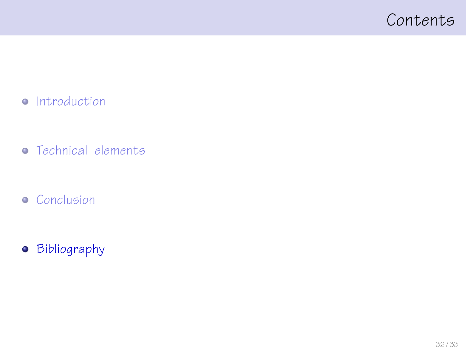### <span id="page-31-0"></span>Contents

- [Introduction](#page-1-0)
- **•** [Technical elements](#page-11-0)
- **•** [Conclusion](#page-29-0)
- **•** [Bibliography](#page-31-0)